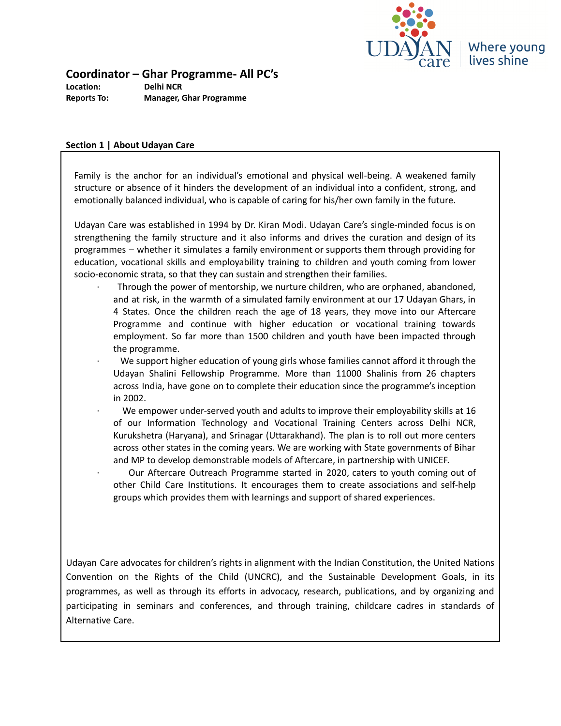

**Coordinator – Ghar Programme- All PC's**

**Location: Delhi NCR Reports To: Manager, Ghar Programme**

#### **Section 1 | About Udayan Care**

Family is the anchor for an individual's emotional and physical well-being. A weakened family structure or absence of it hinders the development of an individual into a confident, strong, and emotionally balanced individual, who is capable of caring for his/her own family in the future.

Udayan Care was established in 1994 by Dr. Kiran Modi. Udayan Care's single-minded focus is on strengthening the family structure and it also informs and drives the curation and design of its programmes – whether it simulates a family environment or supports them through providing for education, vocational skills and employability training to children and youth coming from lower socio-economic strata, so that they can sustain and strengthen their families.

- · Through the power of mentorship, we nurture children, who are orphaned, abandoned, and at risk, in the warmth of a simulated family environment at our 17 Udayan Ghars, in 4 States. Once the children reach the age of 18 years, they move into our Aftercare Programme and continue with higher education or vocational training towards employment. So far more than 1500 children and youth have been impacted through the programme.
	- We support higher education of young girls whose families cannot afford it through the Udayan Shalini Fellowship Programme. More than 11000 Shalinis from 26 chapters across India, have gone on to complete their education since the programme's inception in 2002.
	- We empower under-served youth and adults to improve their employability skills at 16 of our Information Technology and Vocational Training Centers across Delhi NCR, Kurukshetra (Haryana), and Srinagar (Uttarakhand). The plan is to roll out more centers across other states in the coming years. We are working with State governments of Bihar and MP to develop demonstrable models of Aftercare, in partnership with UNICEF.
	- · Our Aftercare Outreach Programme started in 2020, caters to youth coming out of other Child Care Institutions. It encourages them to create associations and self-help groups which provides them with learnings and support of shared experiences.

Udayan Care advocates for children's rights in alignment with the Indian Constitution, the United Nations Convention on the Rights of the Child (UNCRC), and the Sustainable Development Goals, in its programmes, as well as through its efforts in advocacy, research, publications, and by organizing and participating in seminars and conferences, and through training, childcare cadres in standards of Alternative Care.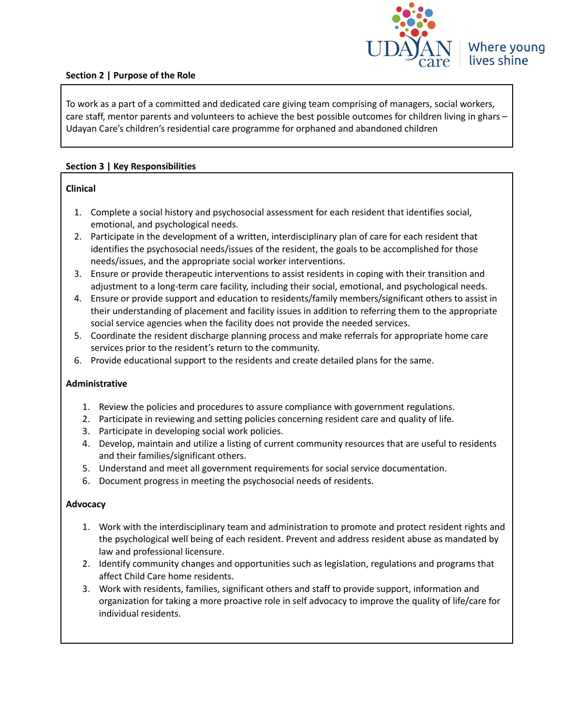

# **Section 2 | Purpose of the Role**

To work as a part of a committed and dedicated care giving team comprising of managers, social workers, care staff, mentor parents and volunteers to achieve the best possible outcomes for children living in ghars – Udayan Care's children's residential care programme for orphaned and abandoned children

# **Section 3 | Key Responsibilities**

#### **Clinical**

- 1. Complete a social history and psychosocial assessment for each resident that identifies social, emotional, and psychological needs.
- 2. Participate in the development of a written, interdisciplinary plan of care for each resident that identifies the psychosocial needs/issues of the resident, the goals to be accomplished for those needs/issues, and the appropriate social worker interventions.
- 3. Ensure or provide therapeutic interventions to assist residents in coping with their transition and adjustment to a long-term care facility, including their social, emotional, and psychological needs.
- 4. Ensure or provide support and education to residents/family members/significant others to assist in their understanding of placement and facility issues in addition to referring them to the appropriate social service agencies when the facility does not provide the needed services.
- 5. Coordinate the resident discharge planning process and make referrals for appropriate home care services prior to the resident's return to the community.
- 6. Provide educational support to the residents and create detailed plans for the same.

#### **Administrative**

- 1. Review the policies and procedures to assure compliance with government regulations.
- 2. Participate in reviewing and setting policies concerning resident care and quality of life.
- 3. Participate in developing social work policies.
- 4. Develop, maintain and utilize a listing of current community resources that are useful to residents and their families/significant others.
- 5. Understand and meet all government requirements for social service documentation.
- 6. Document progress in meeting the psychosocial needs of residents.

#### **Advocacy**

- 1. Work with the interdisciplinary team and administration to promote and protect resident rights and the psychological well being of each resident. Prevent and address resident abuse as mandated by law and professional licensure.
- 2. Identify community changes and opportunities such as legislation, regulations and programs that affect Child Care home residents.
- 3. Work with residents, families, significant others and staff to provide support, information and organization for taking a more proactive role in self advocacy to improve the quality of life/care for individual residents.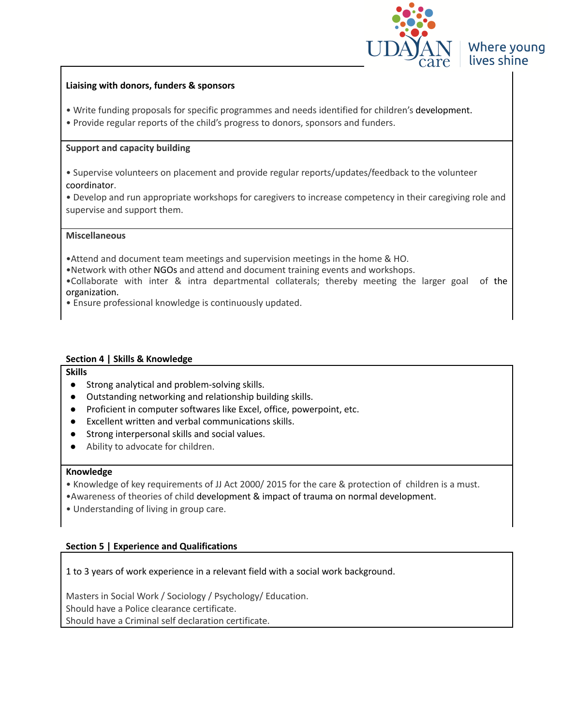

# Where young lives shine

### **Liaising with donors, funders & sponsors**

- Write funding proposals for specific programmes and needs identified for children's development.
- Provide regular reports of the child's progress to donors, sponsors and funders.

#### **Support and capacity building**

- Supervise volunteers on placement and provide regular reports/updates/feedback to the volunteer [coordinator](http://www.devnetjobsindia.org/JobDescription.aspx?Job_Id=69444).
- Develop and run appropriate workshops for caregivers to increase competency in their caregiving role and supervise and support them.

## **Miscellaneous**

•Attend and document team meetings and supervision meetings in the home & HO.

•Network with other [NGOs](http://www.devnetjobsindia.org/JobDescription.aspx?Job_Id=69444) and attend and document training events and workshops.

•Collaborate with inter & intra departmental collaterals; thereby meeting the larger goal of the organization.

• Ensure professional knowledge is continuously updated.

## **Section 4 | Skills & Knowledge**

#### **Skills**

- Strong analytical and problem-solving skills.
- Outstanding networking and relationship building skills.
- Proficient in computer softwares like Excel, office, powerpoint, etc.
- Excellent written and verbal communications skills.
- Strong interpersonal skills and social values.
- Ability to advocate for children.

#### **Knowledge**

- Knowledge of key requirements of JJ Act 2000/ 2015 for the care & protection of children is a must.
- •Awareness of theories of child [development](http://www.devnetjobsindia.org/JobDescription.aspx?Job_Id=69444) & impact of trauma on normal [development.](http://www.devnetjobsindia.org/JobDescription.aspx?Job_Id=69444)
- Understanding of living in group care.

# **Section 5 | Experience and Qualifications**

1 to 3 years of work experience in a relevant field with a social work background.

Masters in Social Work / Sociology / Psychology/ Education. Should have a Police clearance certificate. Should have a Criminal self declaration certificate.